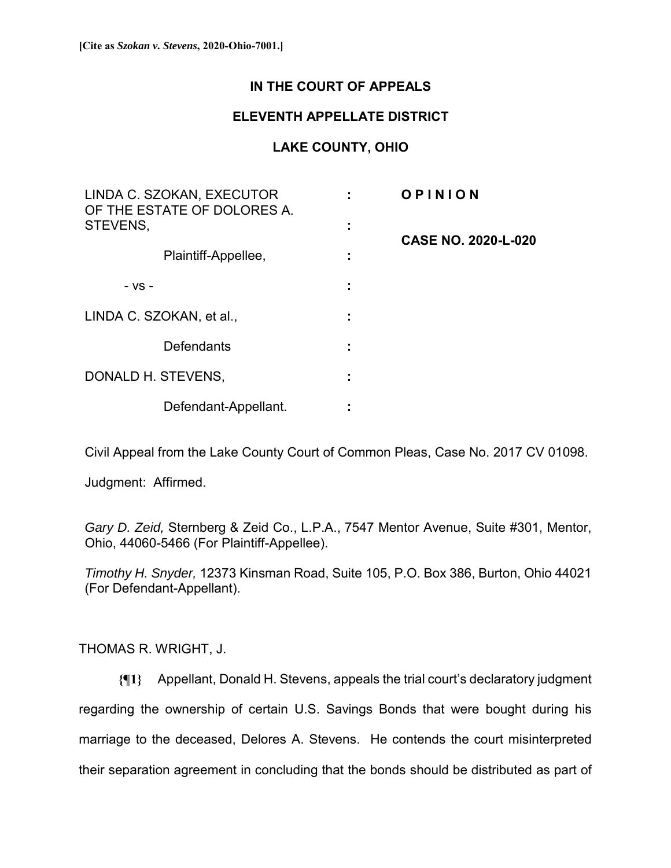# **IN THE COURT OF APPEALS**

## **ELEVENTH APPELLATE DISTRICT**

## **LAKE COUNTY, OHIO**

| LINDA C. SZOKAN, EXECUTOR<br>OF THE ESTATE OF DOLORES A.<br>STEVENS, |                     | OPINION                    |
|----------------------------------------------------------------------|---------------------|----------------------------|
|                                                                      | ٠<br>$\blacksquare$ | <b>CASE NO. 2020-L-020</b> |
| Plaintiff-Appellee,                                                  |                     |                            |
| - VS -                                                               |                     |                            |
| LINDA C. SZOKAN, et al.,                                             | ٠                   |                            |
| Defendants                                                           | ٠                   |                            |
| DONALD H. STEVENS,                                                   |                     |                            |
| Defendant-Appellant.                                                 |                     |                            |

Civil Appeal from the Lake County Court of Common Pleas, Case No. 2017 CV 01098.

Judgment: Affirmed.

*Gary D. Zeid,* Sternberg & Zeid Co., L.P.A., 7547 Mentor Avenue, Suite #301, Mentor, Ohio, 44060-5466 (For Plaintiff-Appellee).

*Timothy H. Snyder,* 12373 Kinsman Road, Suite 105, P.O. Box 386, Burton, Ohio 44021 (For Defendant-Appellant).

### THOMAS R. WRIGHT, J.

**{¶1}** Appellant, Donald H. Stevens, appeals the trial court's declaratory judgment regarding the ownership of certain U.S. Savings Bonds that were bought during his marriage to the deceased, Delores A. Stevens. He contends the court misinterpreted their separation agreement in concluding that the bonds should be distributed as part of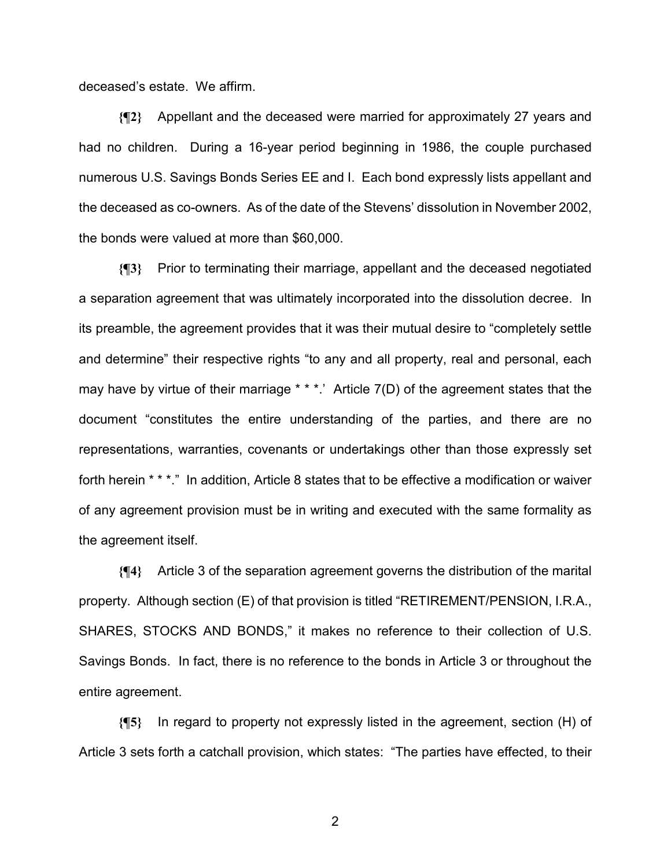deceased's estate. We affirm.

**{¶2}** Appellant and the deceased were married for approximately 27 years and had no children. During a 16-year period beginning in 1986, the couple purchased numerous U.S. Savings Bonds Series EE and I. Each bond expressly lists appellant and the deceased as co-owners. As of the date of the Stevens' dissolution in November 2002, the bonds were valued at more than \$60,000.

**{¶3}** Prior to terminating their marriage, appellant and the deceased negotiated a separation agreement that was ultimately incorporated into the dissolution decree. In its preamble, the agreement provides that it was their mutual desire to "completely settle and determine" their respective rights "to any and all property, real and personal, each may have by virtue of their marriage \* \* \*.' Article 7(D) of the agreement states that the document "constitutes the entire understanding of the parties, and there are no representations, warranties, covenants or undertakings other than those expressly set forth herein \* \* \*." In addition, Article 8 states that to be effective a modification or waiver of any agreement provision must be in writing and executed with the same formality as the agreement itself.

**{¶4}** Article 3 of the separation agreement governs the distribution of the marital property. Although section (E) of that provision is titled "RETIREMENT/PENSION, I.R.A., SHARES, STOCKS AND BONDS," it makes no reference to their collection of U.S. Savings Bonds. In fact, there is no reference to the bonds in Article 3 or throughout the entire agreement.

**{¶5}** In regard to property not expressly listed in the agreement, section (H) of Article 3 sets forth a catchall provision, which states: "The parties have effected, to their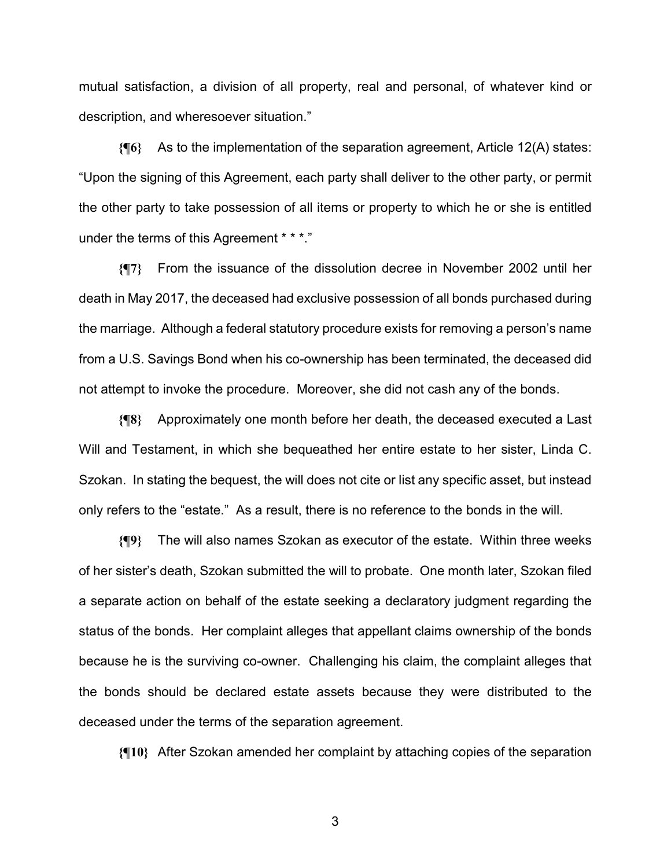mutual satisfaction, a division of all property, real and personal, of whatever kind or description, and wheresoever situation."

**{¶6}** As to the implementation of the separation agreement, Article 12(A) states: "Upon the signing of this Agreement, each party shall deliver to the other party, or permit the other party to take possession of all items or property to which he or she is entitled under the terms of this Agreement \* \* \*."

**{¶7}** From the issuance of the dissolution decree in November 2002 until her death in May 2017, the deceased had exclusive possession of all bonds purchased during the marriage. Although a federal statutory procedure exists for removing a person's name from a U.S. Savings Bond when his co-ownership has been terminated, the deceased did not attempt to invoke the procedure. Moreover, she did not cash any of the bonds.

**{¶8}** Approximately one month before her death, the deceased executed a Last Will and Testament, in which she bequeathed her entire estate to her sister, Linda C. Szokan. In stating the bequest, the will does not cite or list any specific asset, but instead only refers to the "estate." As a result, there is no reference to the bonds in the will.

**{¶9}** The will also names Szokan as executor of the estate. Within three weeks of her sister's death, Szokan submitted the will to probate. One month later, Szokan filed a separate action on behalf of the estate seeking a declaratory judgment regarding the status of the bonds. Her complaint alleges that appellant claims ownership of the bonds because he is the surviving co-owner. Challenging his claim, the complaint alleges that the bonds should be declared estate assets because they were distributed to the deceased under the terms of the separation agreement.

**{¶10}** After Szokan amended her complaint by attaching copies of the separation

 $\sim$  3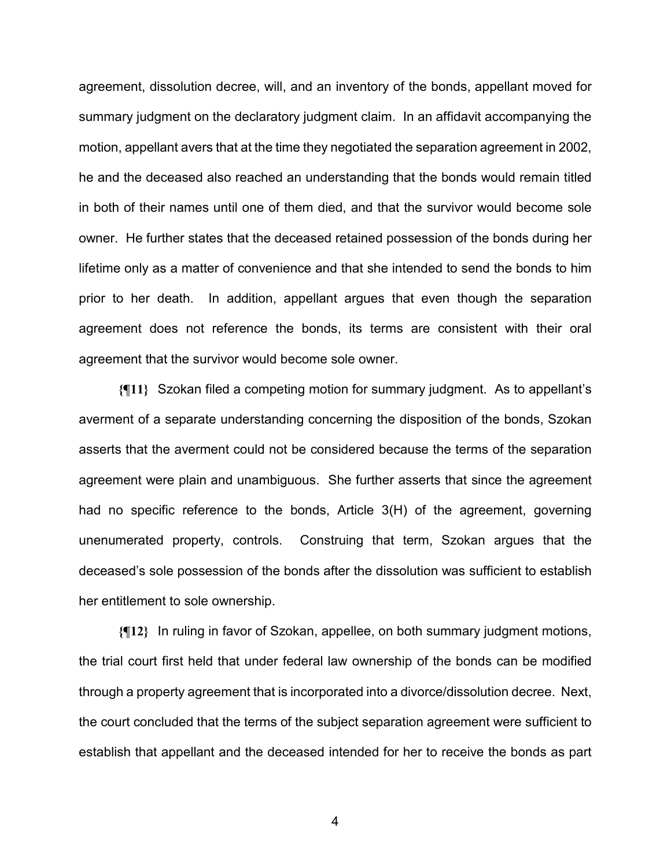agreement, dissolution decree, will, and an inventory of the bonds, appellant moved for summary judgment on the declaratory judgment claim. In an affidavit accompanying the motion, appellant avers that at the time they negotiated the separation agreement in 2002, he and the deceased also reached an understanding that the bonds would remain titled in both of their names until one of them died, and that the survivor would become sole owner. He further states that the deceased retained possession of the bonds during her lifetime only as a matter of convenience and that she intended to send the bonds to him prior to her death. In addition, appellant argues that even though the separation agreement does not reference the bonds, its terms are consistent with their oral agreement that the survivor would become sole owner.

**{¶11}** Szokan filed a competing motion for summary judgment. As to appellant's averment of a separate understanding concerning the disposition of the bonds, Szokan asserts that the averment could not be considered because the terms of the separation agreement were plain and unambiguous. She further asserts that since the agreement had no specific reference to the bonds, Article 3(H) of the agreement, governing unenumerated property, controls. Construing that term, Szokan argues that the deceased's sole possession of the bonds after the dissolution was sufficient to establish her entitlement to sole ownership.

**{¶12}** In ruling in favor of Szokan, appellee, on both summary judgment motions, the trial court first held that under federal law ownership of the bonds can be modified through a property agreement that is incorporated into a divorce/dissolution decree. Next, the court concluded that the terms of the subject separation agreement were sufficient to establish that appellant and the deceased intended for her to receive the bonds as part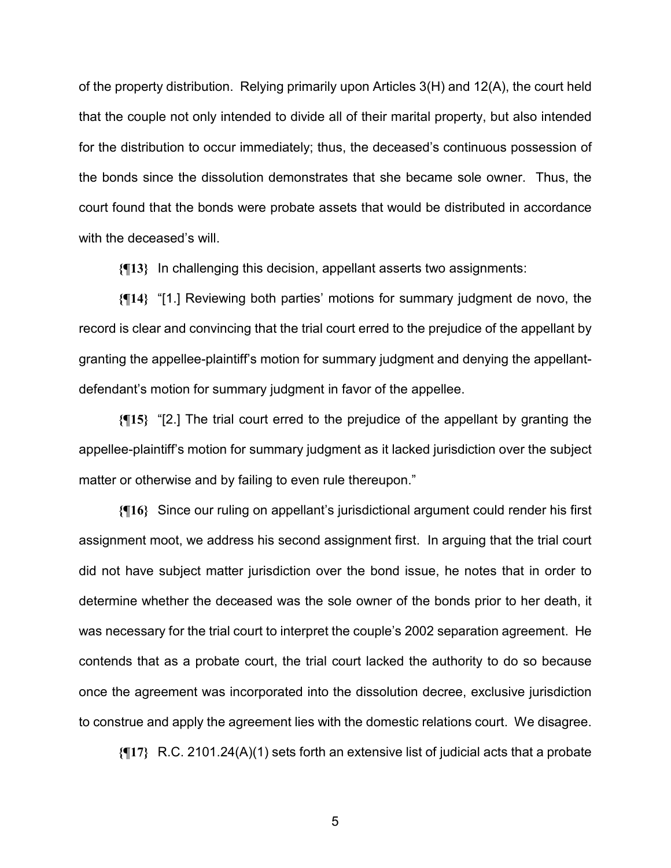of the property distribution. Relying primarily upon Articles 3(H) and 12(A), the court held that the couple not only intended to divide all of their marital property, but also intended for the distribution to occur immediately; thus, the deceased's continuous possession of the bonds since the dissolution demonstrates that she became sole owner. Thus, the court found that the bonds were probate assets that would be distributed in accordance with the deceased's will.

**{¶13}** In challenging this decision, appellant asserts two assignments:

**{¶14}** "[1.] Reviewing both parties' motions for summary judgment de novo, the record is clear and convincing that the trial court erred to the prejudice of the appellant by granting the appellee-plaintiff's motion for summary judgment and denying the appellantdefendant's motion for summary judgment in favor of the appellee.

**{¶15}** "[2.] The trial court erred to the prejudice of the appellant by granting the appellee-plaintiff's motion for summary judgment as it lacked jurisdiction over the subject matter or otherwise and by failing to even rule thereupon."

**{¶16}** Since our ruling on appellant's jurisdictional argument could render his first assignment moot, we address his second assignment first. In arguing that the trial court did not have subject matter jurisdiction over the bond issue, he notes that in order to determine whether the deceased was the sole owner of the bonds prior to her death, it was necessary for the trial court to interpret the couple's 2002 separation agreement. He contends that as a probate court, the trial court lacked the authority to do so because once the agreement was incorporated into the dissolution decree, exclusive jurisdiction to construe and apply the agreement lies with the domestic relations court. We disagree.

**{¶17}** R.C. 2101.24(A)(1) sets forth an extensive list of judicial acts that a probate

 $5<sup>th</sup>$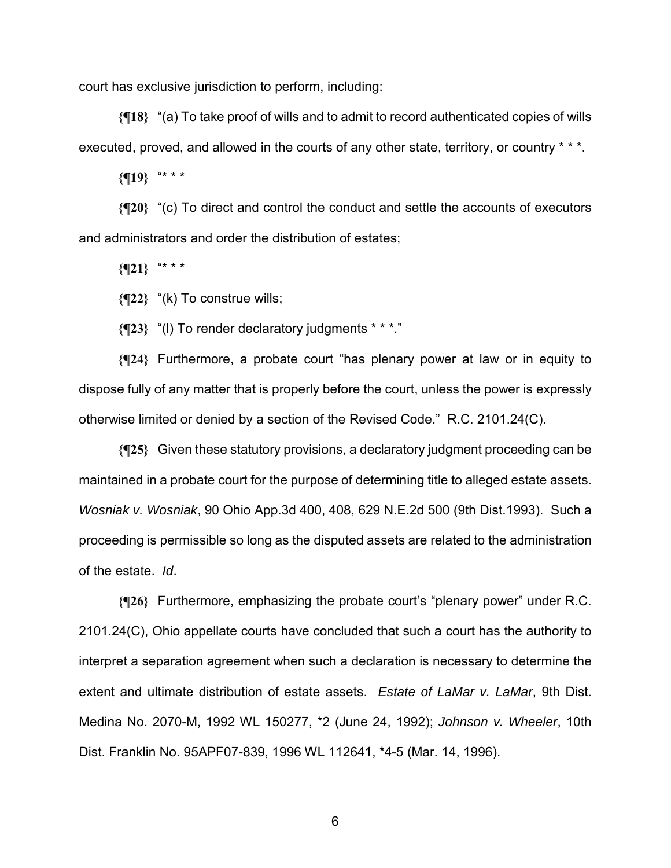court has exclusive jurisdiction to perform, including:

**{¶18}** "(a) To take proof of wills and to admit to record authenticated copies of wills executed, proved, and allowed in the courts of any other state, territory, or country \* \* \*.

**{¶19}** "\* \* \*

**{¶20}** "(c) To direct and control the conduct and settle the accounts of executors and administrators and order the distribution of estates;

**{¶21}** "\* \* \*

**{¶22}** "(k) To construe wills;

**{¶23}** "(l) To render declaratory judgments \* \* \*."

**{¶24}** Furthermore, a probate court "has plenary power at law or in equity to dispose fully of any matter that is properly before the court, unless the power is expressly otherwise limited or denied by a section of the Revised Code." R.C. 2101.24(C).

**{¶25}** Given these statutory provisions, a declaratory judgment proceeding can be maintained in a probate court for the purpose of determining title to alleged estate assets. *Wosniak v. Wosniak*, 90 Ohio App.3d 400, 408, 629 N.E.2d 500 (9th Dist.1993). Such a proceeding is permissible so long as the disputed assets are related to the administration of the estate. *Id*.

**{¶26}** Furthermore, emphasizing the probate court's "plenary power" under R.C. 2101.24(C), Ohio appellate courts have concluded that such a court has the authority to interpret a separation agreement when such a declaration is necessary to determine the extent and ultimate distribution of estate assets. *Estate of LaMar v. LaMar*, 9th Dist. Medina No. 2070-M, 1992 WL 150277, \*2 (June 24, 1992); *Johnson v. Wheeler*, 10th Dist. Franklin No. 95APF07-839, 1996 WL 112641, \*4-5 (Mar. 14, 1996).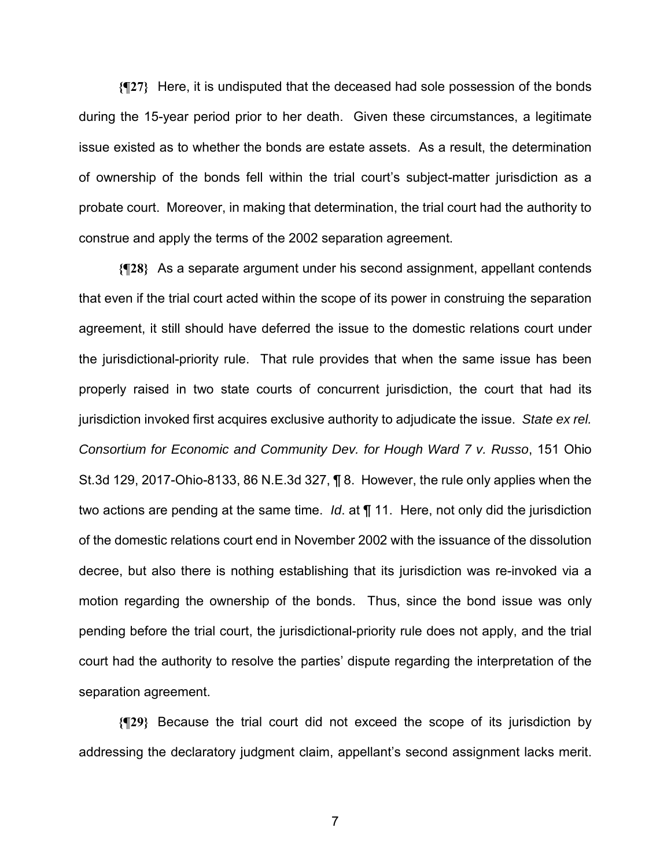**{¶27}** Here, it is undisputed that the deceased had sole possession of the bonds during the 15-year period prior to her death. Given these circumstances, a legitimate issue existed as to whether the bonds are estate assets. As a result, the determination of ownership of the bonds fell within the trial court's subject-matter jurisdiction as a probate court. Moreover, in making that determination, the trial court had the authority to construe and apply the terms of the 2002 separation agreement.

**{¶28}** As a separate argument under his second assignment, appellant contends that even if the trial court acted within the scope of its power in construing the separation agreement, it still should have deferred the issue to the domestic relations court under the jurisdictional-priority rule. That rule provides that when the same issue has been properly raised in two state courts of concurrent jurisdiction, the court that had its jurisdiction invoked first acquires exclusive authority to adjudicate the issue. *State ex rel. Consortium for Economic and Community Dev. for Hough Ward 7 v. Russo*, 151 Ohio St.3d 129, 2017-Ohio-8133, 86 N.E.3d 327, ¶ 8. However, the rule only applies when the two actions are pending at the same time. *Id*. at ¶ 11. Here, not only did the jurisdiction of the domestic relations court end in November 2002 with the issuance of the dissolution decree, but also there is nothing establishing that its jurisdiction was re-invoked via a motion regarding the ownership of the bonds. Thus, since the bond issue was only pending before the trial court, the jurisdictional-priority rule does not apply, and the trial court had the authority to resolve the parties' dispute regarding the interpretation of the separation agreement.

**{¶29}** Because the trial court did not exceed the scope of its jurisdiction by addressing the declaratory judgment claim, appellant's second assignment lacks merit.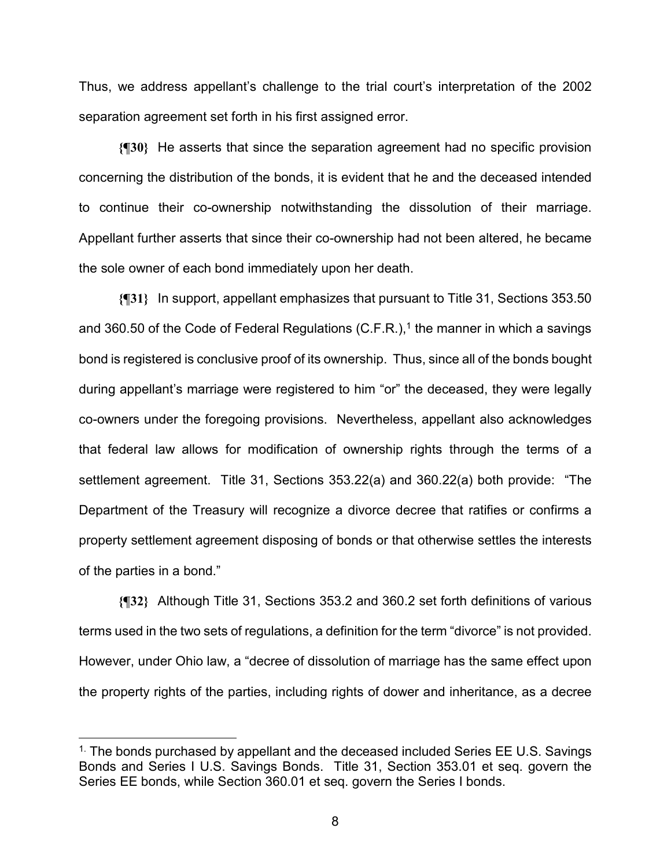Thus, we address appellant's challenge to the trial court's interpretation of the 2002 separation agreement set forth in his first assigned error.

**{¶30}** He asserts that since the separation agreement had no specific provision concerning the distribution of the bonds, it is evident that he and the deceased intended to continue their co-ownership notwithstanding the dissolution of their marriage. Appellant further asserts that since their co-ownership had not been altered, he became the sole owner of each bond immediately upon her death.

**{¶31}** In support, appellant emphasizes that pursuant to Title 31, Sections 353.50 and 360.50 of the Code of Federal Regulations  $(C.F.R.)$ ,<sup>1</sup> the manner in which a savings bond is registered is conclusive proof of its ownership. Thus, since all of the bonds bought during appellant's marriage were registered to him "or" the deceased, they were legally co-owners under the foregoing provisions. Nevertheless, appellant also acknowledges that federal law allows for modification of ownership rights through the terms of a settlement agreement. Title 31, Sections 353.22(a) and 360.22(a) both provide: "The Department of the Treasury will recognize a divorce decree that ratifies or confirms a property settlement agreement disposing of bonds or that otherwise settles the interests of the parties in a bond."

**{¶32}** Although Title 31, Sections 353.2 and 360.2 set forth definitions of various terms used in the two sets of regulations, a definition for the term "divorce" is not provided. However, under Ohio law, a "decree of dissolution of marriage has the same effect upon the property rights of the parties, including rights of dower and inheritance, as a decree

 $1$ . The bonds purchased by appellant and the deceased included Series EE U.S. Savings Bonds and Series I U.S. Savings Bonds. Title 31, Section 353.01 et seq. govern the Series EE bonds, while Section 360.01 et seq. govern the Series I bonds.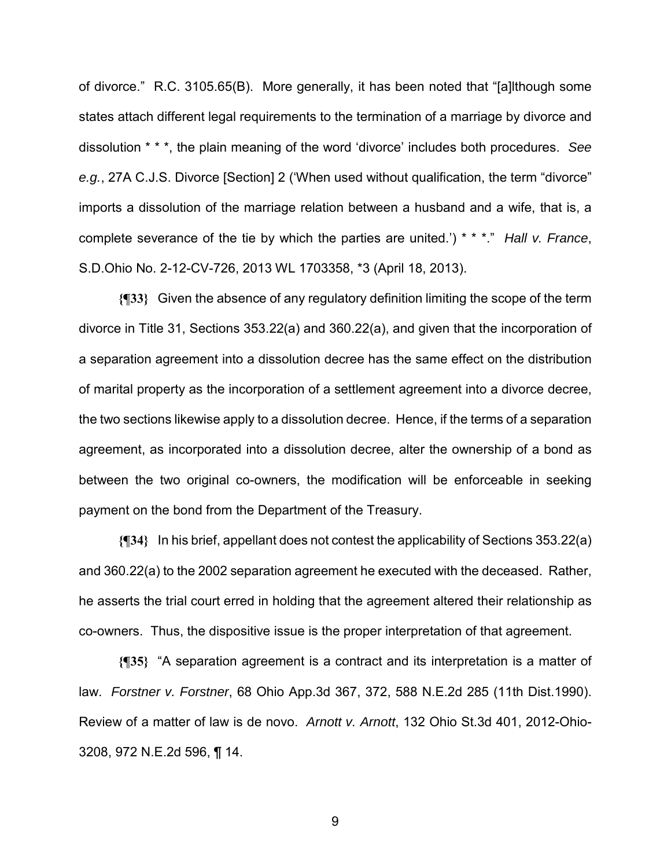of divorce." R.C. 3105.65(B). More generally, it has been noted that "[a]lthough some states attach different legal requirements to the termination of a marriage by divorce and dissolution \* \* \*, the plain meaning of the word 'divorce' includes both procedures. *See e.g.*, 27A C.J.S. Divorce [Section] 2 ('When used without qualification, the term "divorce" imports a dissolution of the marriage relation between a husband and a wife, that is, a complete severance of the tie by which the parties are united.') \* \* \*." *Hall v. France*, S.D.Ohio No. 2-12-CV-726, 2013 WL 1703358, \*3 (April 18, 2013).

**{¶33}** Given the absence of any regulatory definition limiting the scope of the term divorce in Title 31, Sections 353.22(a) and 360.22(a), and given that the incorporation of a separation agreement into a dissolution decree has the same effect on the distribution of marital property as the incorporation of a settlement agreement into a divorce decree, the two sections likewise apply to a dissolution decree. Hence, if the terms of a separation agreement, as incorporated into a dissolution decree, alter the ownership of a bond as between the two original co-owners, the modification will be enforceable in seeking payment on the bond from the Department of the Treasury.

**{¶34}** In his brief, appellant does not contest the applicability of Sections 353.22(a) and 360.22(a) to the 2002 separation agreement he executed with the deceased. Rather, he asserts the trial court erred in holding that the agreement altered their relationship as co-owners. Thus, the dispositive issue is the proper interpretation of that agreement.

**{¶35}** "A separation agreement is a contract and its interpretation is a matter of law. *Forstner v. Forstner*, 68 Ohio App.3d 367, 372, 588 N.E.2d 285 (11th Dist.1990). Review of a matter of law is de novo. *Arnott v. Arnott*, 132 Ohio St.3d 401, 2012-Ohio-3208, 972 N.E.2d 596, ¶ 14.

9 and 20 and 20 and 20 and 20 and 20 and 20 and 20 and 20 and 20 and 20 and 20 and 20 and 20 and 20 and 20 and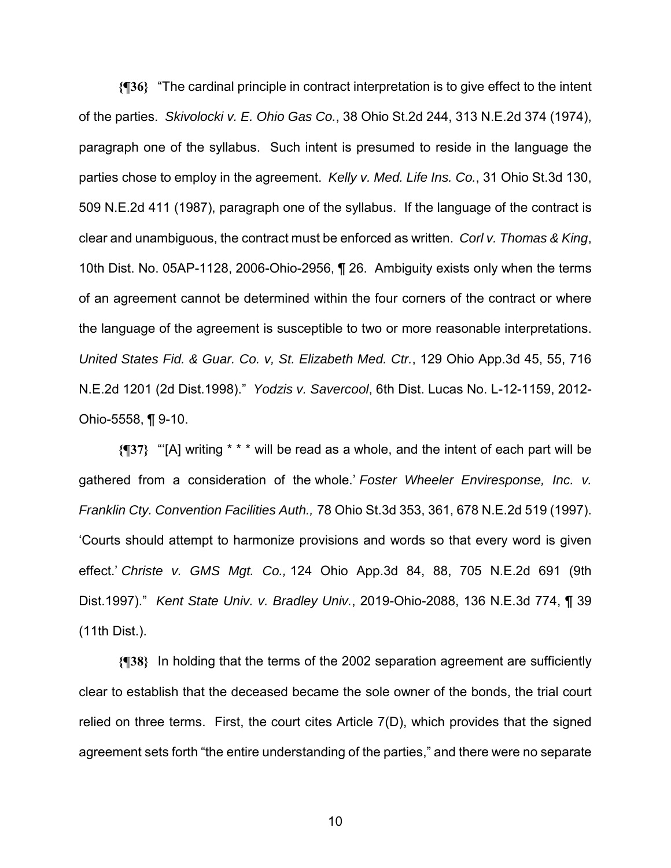**{¶36}** "The cardinal principle in contract interpretation is to give effect to the intent of the parties. *Skivolocki v. E. Ohio Gas Co.*, 38 Ohio St.2d 244, 313 N.E.2d 374 (1974), paragraph one of the syllabus. Such intent is presumed to reside in the language the parties chose to employ in the agreement. *Kelly v. Med. Life Ins. Co.*, 31 Ohio St.3d 130, 509 N.E.2d 411 (1987), paragraph one of the syllabus. If the language of the contract is clear and unambiguous, the contract must be enforced as written. *Corl v. Thomas & King*, 10th Dist. No. 05AP-1128, 2006-Ohio-2956, ¶ 26. Ambiguity exists only when the terms of an agreement cannot be determined within the four corners of the contract or where the language of the agreement is susceptible to two or more reasonable interpretations. *United States Fid. & Guar. Co. v, St. Elizabeth Med. Ctr.*, 129 Ohio App.3d 45, 55, 716 N.E.2d 1201 (2d Dist.1998)." *Yodzis v. Savercool*, 6th Dist. Lucas No. L-12-1159, 2012- Ohio-5558, ¶ 9-10.

**{¶37}** "'[A] writing \* \* \* will be read as a whole, and the intent of each part will be gathered from a consideration of the whole.' *Foster Wheeler Enviresponse, Inc. v. Franklin Cty. Convention Facilities Auth.,* 78 Ohio St.3d 353, 361, 678 N.E.2d 519 (1997). 'Courts should attempt to harmonize provisions and words so that every word is given effect.' *Christe v. GMS Mgt. Co.,* 124 Ohio App.3d 84, 88, 705 N.E.2d 691 (9th Dist.1997)." *Kent State Univ. v. Bradley Univ.*, 2019-Ohio-2088, 136 N.E.3d 774, ¶ 39 (11th Dist.).

**{¶38}** In holding that the terms of the 2002 separation agreement are sufficiently clear to establish that the deceased became the sole owner of the bonds, the trial court relied on three terms. First, the court cites Article 7(D), which provides that the signed agreement sets forth "the entire understanding of the parties," and there were no separate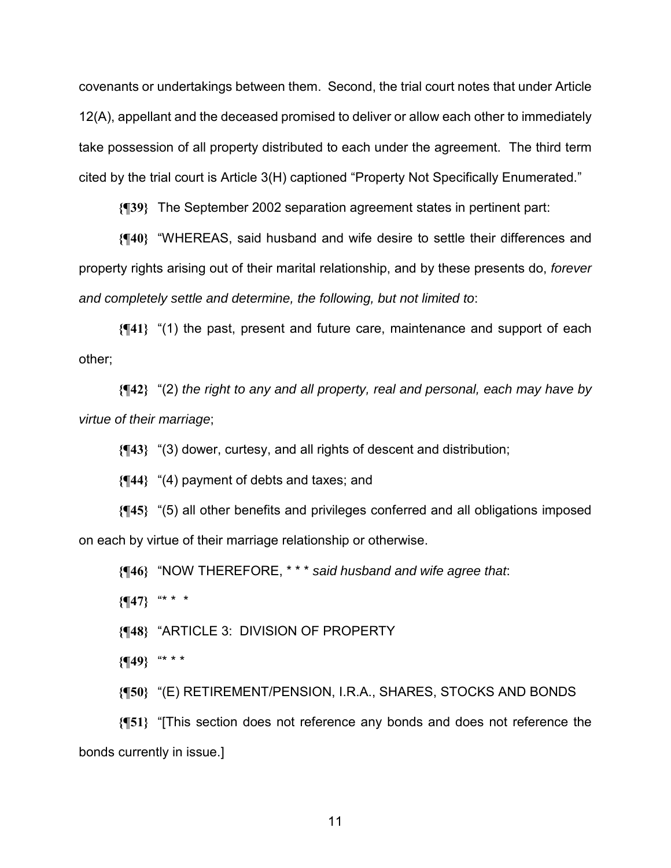covenants or undertakings between them. Second, the trial court notes that under Article 12(A), appellant and the deceased promised to deliver or allow each other to immediately take possession of all property distributed to each under the agreement. The third term cited by the trial court is Article 3(H) captioned "Property Not Specifically Enumerated."

**{¶39}** The September 2002 separation agreement states in pertinent part:

**{¶40}** "WHEREAS, said husband and wife desire to settle their differences and property rights arising out of their marital relationship, and by these presents do, *forever and completely settle and determine, the following, but not limited to*:

**{¶41}** "(1) the past, present and future care, maintenance and support of each other;

**{¶42}** "(2) *the right to any and all property, real and personal, each may have by virtue of their marriage*;

**{¶43}** "(3) dower, curtesy, and all rights of descent and distribution;

**{¶44}** "(4) payment of debts and taxes; and

**{¶45}** "(5) all other benefits and privileges conferred and all obligations imposed on each by virtue of their marriage relationship or otherwise.

**{¶46}** "NOW THEREFORE, \* \* \* *said husband and wife agree that*:

**{¶47}** "\* \* \*

**{¶48}** "ARTICLE 3: DIVISION OF PROPERTY

**{¶49}** "\* \* \*

**{¶50}** "(E) RETIREMENT/PENSION, I.R.A., SHARES, STOCKS AND BONDS

**{¶51}** "[This section does not reference any bonds and does not reference the bonds currently in issue.]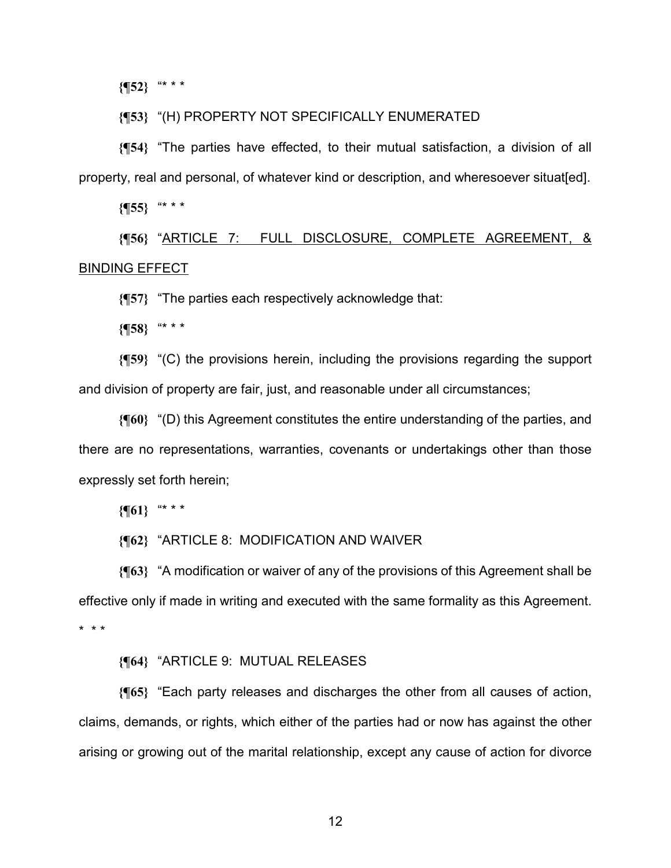**{¶52}** "\* \* \*

#### **{¶53}** "(H) PROPERTY NOT SPECIFICALLY ENUMERATED

**{¶54}** "The parties have effected, to their mutual satisfaction, a division of all property, real and personal, of whatever kind or description, and wheresoever situat[ed].

**{¶55}** "\* \* \*

**{¶56}** "ARTICLE 7: FULL DISCLOSURE, COMPLETE AGREEMENT, & BINDING EFFECT

**{¶57}** "The parties each respectively acknowledge that:

**{¶58}** "\* \* \*

**{¶59}** "(C) the provisions herein, including the provisions regarding the support and division of property are fair, just, and reasonable under all circumstances;

**{¶60}** "(D) this Agreement constitutes the entire understanding of the parties, and there are no representations, warranties, covenants or undertakings other than those expressly set forth herein;

**{¶61}** "\* \* \*

**{¶62}** "ARTICLE 8: MODIFICATION AND WAIVER

**{¶63}** "A modification or waiver of any of the provisions of this Agreement shall be effective only if made in writing and executed with the same formality as this Agreement. \* \* \*

#### **{¶64}** "ARTICLE 9: MUTUAL RELEASES

**{¶65}** "Each party releases and discharges the other from all causes of action, claims, demands, or rights, which either of the parties had or now has against the other arising or growing out of the marital relationship, except any cause of action for divorce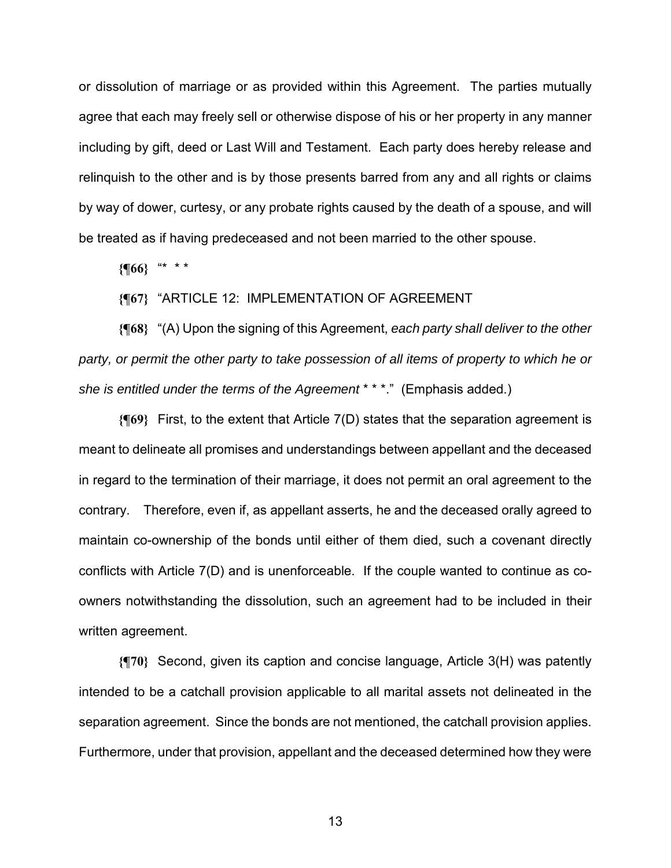or dissolution of marriage or as provided within this Agreement. The parties mutually agree that each may freely sell or otherwise dispose of his or her property in any manner including by gift, deed or Last Will and Testament. Each party does hereby release and relinquish to the other and is by those presents barred from any and all rights or claims by way of dower, curtesy, or any probate rights caused by the death of a spouse, and will be treated as if having predeceased and not been married to the other spouse.

**{¶66}** "\* \* \*

#### **{¶67}** "ARTICLE 12: IMPLEMENTATION OF AGREEMENT

**{¶68}** "(A) Upon the signing of this Agreement, *each party shall deliver to the other party, or permit the other party to take possession of all items of property to which he or she is entitled under the terms of the Agreement* \* \* \*." (Emphasis added.)

**{¶69}** First, to the extent that Article 7(D) states that the separation agreement is meant to delineate all promises and understandings between appellant and the deceased in regard to the termination of their marriage, it does not permit an oral agreement to the contrary. Therefore, even if, as appellant asserts, he and the deceased orally agreed to maintain co-ownership of the bonds until either of them died, such a covenant directly conflicts with Article 7(D) and is unenforceable. If the couple wanted to continue as coowners notwithstanding the dissolution, such an agreement had to be included in their written agreement.

**{¶70}** Second, given its caption and concise language, Article 3(H) was patently intended to be a catchall provision applicable to all marital assets not delineated in the separation agreement. Since the bonds are not mentioned, the catchall provision applies. Furthermore, under that provision, appellant and the deceased determined how they were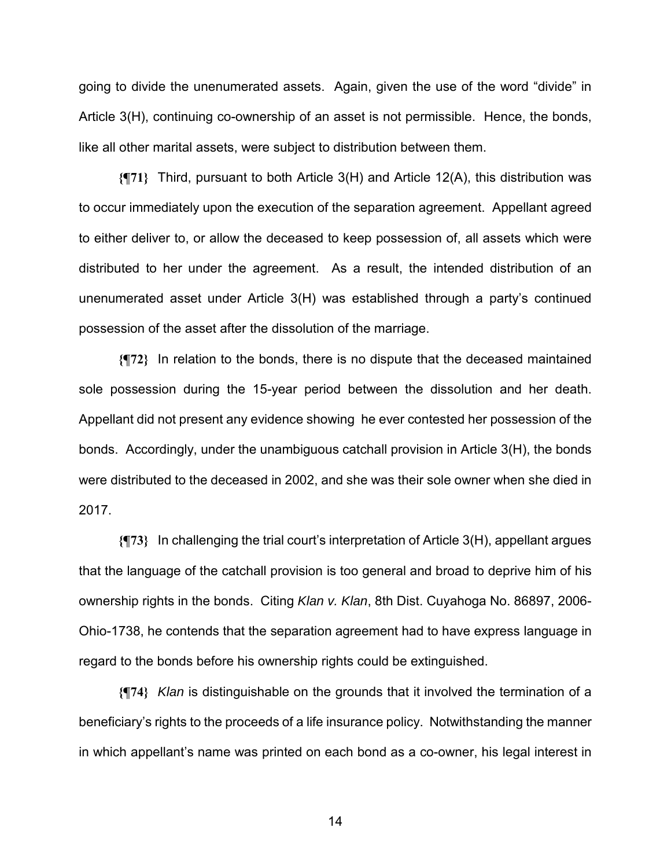going to divide the unenumerated assets. Again, given the use of the word "divide" in Article 3(H), continuing co-ownership of an asset is not permissible. Hence, the bonds, like all other marital assets, were subject to distribution between them.

**{¶71}** Third, pursuant to both Article 3(H) and Article 12(A), this distribution was to occur immediately upon the execution of the separation agreement. Appellant agreed to either deliver to, or allow the deceased to keep possession of, all assets which were distributed to her under the agreement. As a result, the intended distribution of an unenumerated asset under Article 3(H) was established through a party's continued possession of the asset after the dissolution of the marriage.

**{¶72}** In relation to the bonds, there is no dispute that the deceased maintained sole possession during the 15-year period between the dissolution and her death. Appellant did not present any evidence showing he ever contested her possession of the bonds. Accordingly, under the unambiguous catchall provision in Article 3(H), the bonds were distributed to the deceased in 2002, and she was their sole owner when she died in 2017.

**{¶73}** In challenging the trial court's interpretation of Article 3(H), appellant argues that the language of the catchall provision is too general and broad to deprive him of his ownership rights in the bonds. Citing *Klan v. Klan*, 8th Dist. Cuyahoga No. 86897, 2006- Ohio-1738, he contends that the separation agreement had to have express language in regard to the bonds before his ownership rights could be extinguished.

**{¶74}** *Klan* is distinguishable on the grounds that it involved the termination of a beneficiary's rights to the proceeds of a life insurance policy. Notwithstanding the manner in which appellant's name was printed on each bond as a co-owner, his legal interest in

 $\sim$  14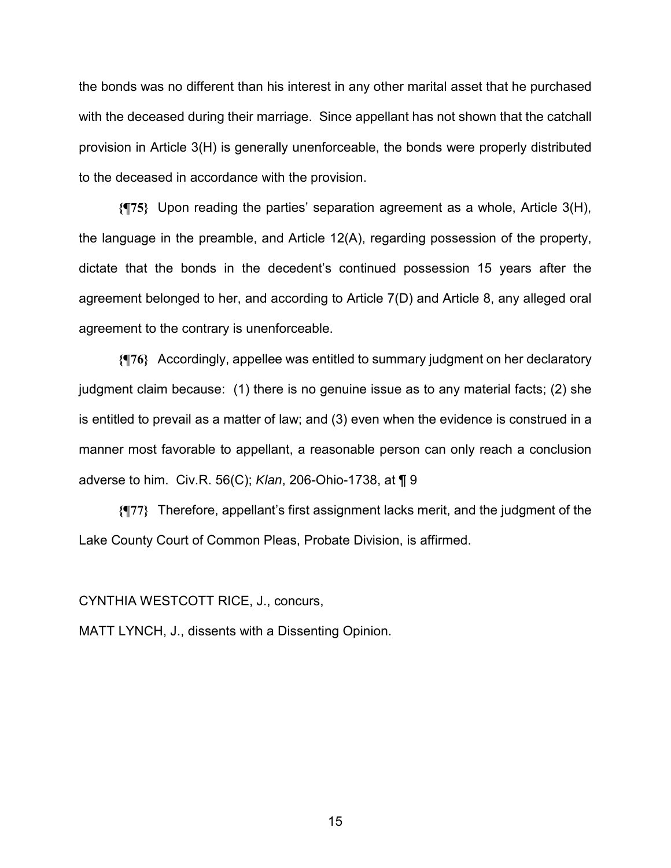the bonds was no different than his interest in any other marital asset that he purchased with the deceased during their marriage. Since appellant has not shown that the catchall provision in Article 3(H) is generally unenforceable, the bonds were properly distributed to the deceased in accordance with the provision.

**{¶75}** Upon reading the parties' separation agreement as a whole, Article 3(H), the language in the preamble, and Article 12(A), regarding possession of the property, dictate that the bonds in the decedent's continued possession 15 years after the agreement belonged to her, and according to Article 7(D) and Article 8, any alleged oral agreement to the contrary is unenforceable.

**{¶76}** Accordingly, appellee was entitled to summary judgment on her declaratory judgment claim because: (1) there is no genuine issue as to any material facts; (2) she is entitled to prevail as a matter of law; and (3) even when the evidence is construed in a manner most favorable to appellant, a reasonable person can only reach a conclusion adverse to him. Civ.R. 56(C); *Klan*, 206-Ohio-1738, at ¶ 9

**{¶77}** Therefore, appellant's first assignment lacks merit, and the judgment of the Lake County Court of Common Pleas, Probate Division, is affirmed.

CYNTHIA WESTCOTT RICE, J., concurs,

MATT LYNCH, J., dissents with a Dissenting Opinion.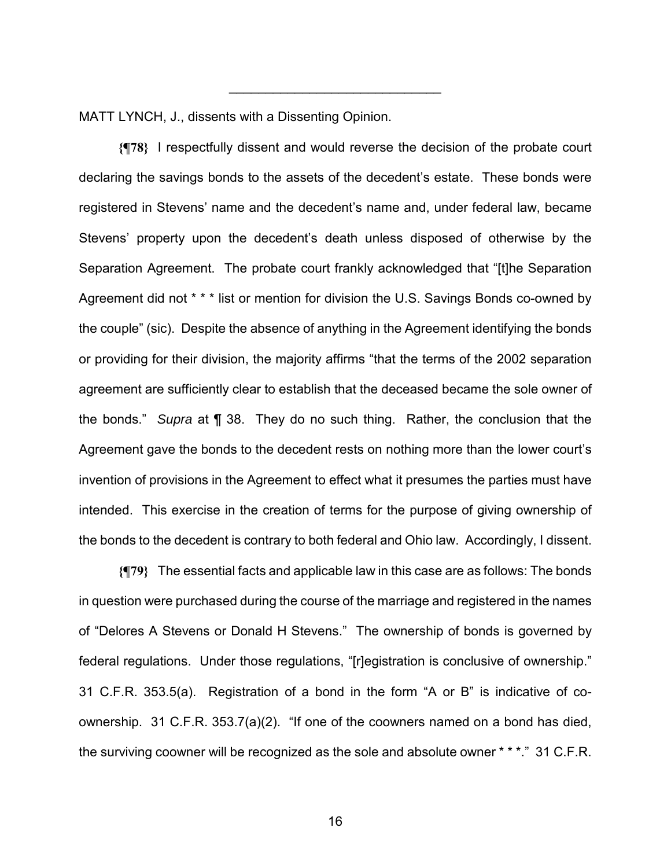MATT LYNCH, J., dissents with a Dissenting Opinion.

**{¶78}** I respectfully dissent and would reverse the decision of the probate court declaring the savings bonds to the assets of the decedent's estate. These bonds were registered in Stevens' name and the decedent's name and, under federal law, became Stevens' property upon the decedent's death unless disposed of otherwise by the Separation Agreement. The probate court frankly acknowledged that "[t]he Separation Agreement did not \* \* \* list or mention for division the U.S. Savings Bonds co-owned by the couple" (sic). Despite the absence of anything in the Agreement identifying the bonds or providing for their division, the majority affirms "that the terms of the 2002 separation agreement are sufficiently clear to establish that the deceased became the sole owner of the bonds." *Supra* at ¶ 38. They do no such thing. Rather, the conclusion that the Agreement gave the bonds to the decedent rests on nothing more than the lower court's invention of provisions in the Agreement to effect what it presumes the parties must have intended. This exercise in the creation of terms for the purpose of giving ownership of the bonds to the decedent is contrary to both federal and Ohio law. Accordingly, I dissent.

\_\_\_\_\_\_\_\_\_\_\_\_\_\_\_\_\_\_\_\_\_\_\_\_\_\_\_\_\_

**{¶79}** The essential facts and applicable law in this case are as follows: The bonds in question were purchased during the course of the marriage and registered in the names of "Delores A Stevens or Donald H Stevens." The ownership of bonds is governed by federal regulations. Under those regulations, "[r]egistration is conclusive of ownership." 31 C.F.R. 353.5(a). Registration of a bond in the form "A or B" is indicative of coownership. 31 C.F.R. 353.7(a)(2). "If one of the coowners named on a bond has died, the surviving coowner will be recognized as the sole and absolute owner \* \* \*." 31 C.F.R.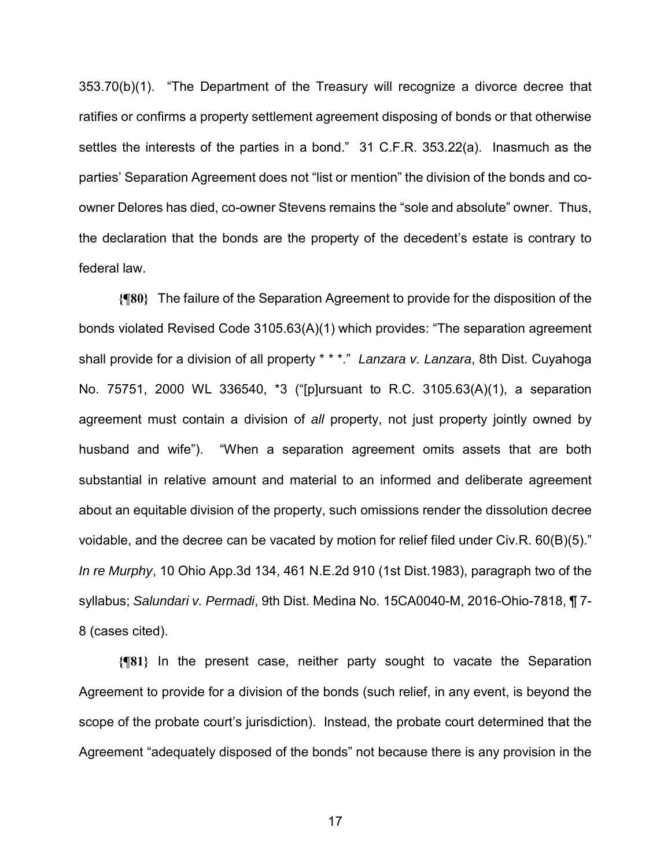353.70(b)(1). "The Department of the Treasury will recognize a divorce decree that ratifies or confirms a property settlement agreement disposing of bonds or that otherwise settles the interests of the parties in a bond." 31 C.F.R. 353.22(a). Inasmuch as the parties' Separation Agreement does not "list or mention" the division of the bonds and coowner Delores has died, co-owner Stevens remains the "sole and absolute" owner. Thus, the declaration that the bonds are the property of the decedent's estate is contrary to federal law.

**{¶80}** The failure of the Separation Agreement to provide for the disposition of the bonds violated Revised Code 3105.63(A)(1) which provides: "The separation agreement shall provide for a division of all property \* \* \*." *Lanzara v. Lanzara*, 8th Dist. Cuyahoga No. 75751, 2000 WL 336540, \*3 ("[p]ursuant to R.C. 3105.63(A)(1), a separation agreement must contain a division of *all* property, not just property jointly owned by husband and wife"). "When a separation agreement omits assets that are both substantial in relative amount and material to an informed and deliberate agreement about an equitable division of the property, such omissions render the dissolution decree voidable, and the decree can be vacated by motion for relief filed under Civ.R. 60(B)(5)." *In re Murphy*, 10 Ohio App.3d 134, 461 N.E.2d 910 (1st Dist.1983), paragraph two of the syllabus; *Salundari v. Permadi*, 9th Dist. Medina No. 15CA0040-M, 2016-Ohio-7818, ¶ 7- 8 (cases cited).

**{¶81}** In the present case, neither party sought to vacate the Separation Agreement to provide for a division of the bonds (such relief, in any event, is beyond the scope of the probate court's jurisdiction). Instead, the probate court determined that the Agreement "adequately disposed of the bonds" not because there is any provision in the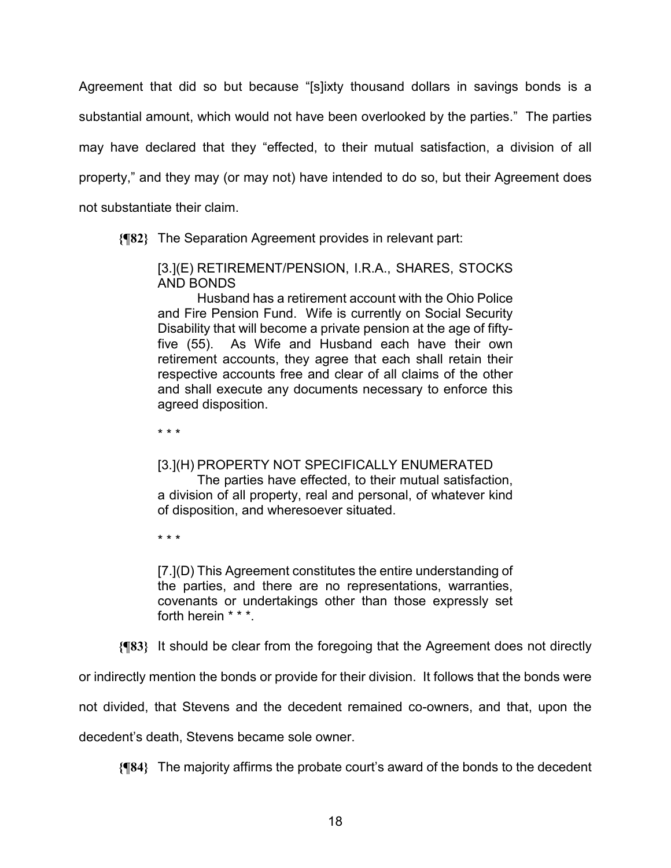Agreement that did so but because "[s]ixty thousand dollars in savings bonds is a substantial amount, which would not have been overlooked by the parties." The parties may have declared that they "effected, to their mutual satisfaction, a division of all property," and they may (or may not) have intended to do so, but their Agreement does not substantiate their claim.

**{¶82}** The Separation Agreement provides in relevant part:

[3.](E) RETIREMENT/PENSION, I.R.A., SHARES, STOCKS AND BONDS

 Husband has a retirement account with the Ohio Police and Fire Pension Fund. Wife is currently on Social Security Disability that will become a private pension at the age of fiftyfive (55). As Wife and Husband each have their own retirement accounts, they agree that each shall retain their respective accounts free and clear of all claims of the other and shall execute any documents necessary to enforce this agreed disposition.

\* \* \*

# [3.](H) PROPERTY NOT SPECIFICALLY ENUMERATED

 The parties have effected, to their mutual satisfaction, a division of all property, real and personal, of whatever kind of disposition, and wheresoever situated.

\* \* \*

[7.](D) This Agreement constitutes the entire understanding of the parties, and there are no representations, warranties, covenants or undertakings other than those expressly set forth herein \* \* \*.

**{¶83}** It should be clear from the foregoing that the Agreement does not directly

or indirectly mention the bonds or provide for their division. It follows that the bonds were

not divided, that Stevens and the decedent remained co-owners, and that, upon the

decedent's death, Stevens became sole owner.

**{¶84}** The majority affirms the probate court's award of the bonds to the decedent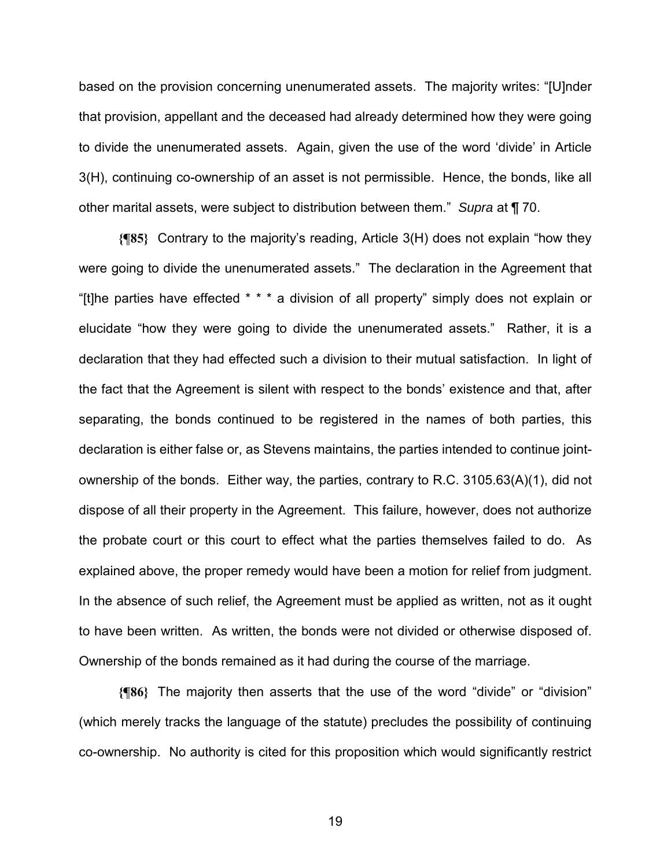based on the provision concerning unenumerated assets. The majority writes: "[U]nder that provision, appellant and the deceased had already determined how they were going to divide the unenumerated assets. Again, given the use of the word 'divide' in Article 3(H), continuing co-ownership of an asset is not permissible. Hence, the bonds, like all other marital assets, were subject to distribution between them." *Supra* at ¶ 70.

**{¶85}** Contrary to the majority's reading, Article 3(H) does not explain "how they were going to divide the unenumerated assets." The declaration in the Agreement that "[t]he parties have effected \* \* \* a division of all property" simply does not explain or elucidate "how they were going to divide the unenumerated assets." Rather, it is a declaration that they had effected such a division to their mutual satisfaction. In light of the fact that the Agreement is silent with respect to the bonds' existence and that, after separating, the bonds continued to be registered in the names of both parties, this declaration is either false or, as Stevens maintains, the parties intended to continue jointownership of the bonds. Either way, the parties, contrary to R.C. 3105.63(A)(1), did not dispose of all their property in the Agreement. This failure, however, does not authorize the probate court or this court to effect what the parties themselves failed to do. As explained above, the proper remedy would have been a motion for relief from judgment. In the absence of such relief, the Agreement must be applied as written, not as it ought to have been written. As written, the bonds were not divided or otherwise disposed of. Ownership of the bonds remained as it had during the course of the marriage.

**{¶86}** The majority then asserts that the use of the word "divide" or "division" (which merely tracks the language of the statute) precludes the possibility of continuing co-ownership. No authority is cited for this proposition which would significantly restrict

 $19<sup>19</sup>$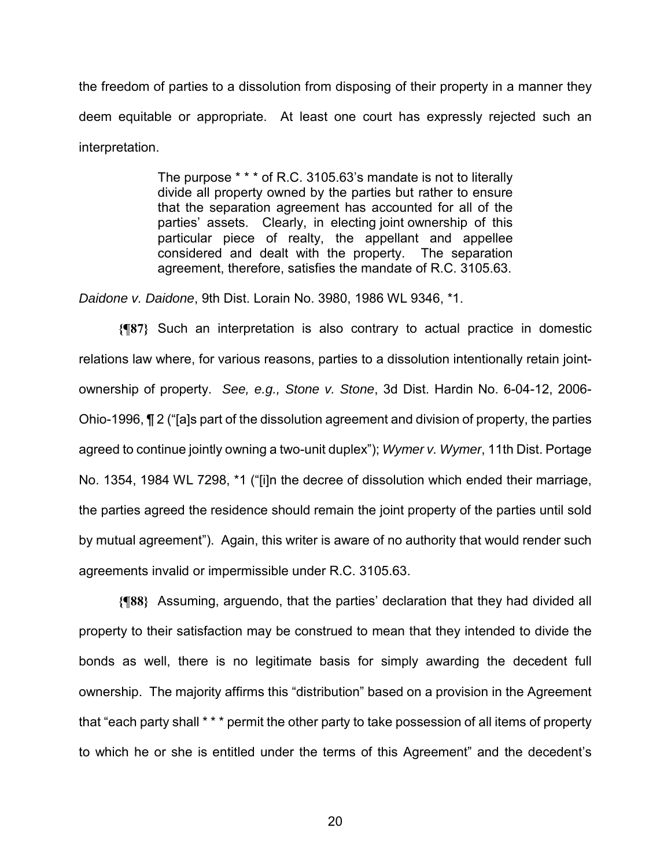the freedom of parties to a dissolution from disposing of their property in a manner they deem equitable or appropriate. At least one court has expressly rejected such an interpretation.

> The purpose \* \* \* of R.C. 3105.63's mandate is not to literally divide all property owned by the parties but rather to ensure that the separation agreement has accounted for all of the parties' assets. Clearly, in electing joint ownership of this particular piece of realty, the appellant and appellee considered and dealt with the property. The separation agreement, therefore, satisfies the mandate of R.C. 3105.63.

*Daidone v. Daidone*, 9th Dist. Lorain No. 3980, 1986 WL 9346, \*1.

**{¶87}** Such an interpretation is also contrary to actual practice in domestic relations law where, for various reasons, parties to a dissolution intentionally retain jointownership of property. *See, e.g., Stone v. Stone*, 3d Dist. Hardin No. 6-04-12, 2006- Ohio-1996, ¶ 2 ("[a]s part of the dissolution agreement and division of property, the parties agreed to continue jointly owning a two-unit duplex"); *Wymer v. Wymer*, 11th Dist. Portage No. 1354, 1984 WL 7298, \*1 ("[i]n the decree of dissolution which ended their marriage, the parties agreed the residence should remain the joint property of the parties until sold by mutual agreement"). Again, this writer is aware of no authority that would render such agreements invalid or impermissible under R.C. 3105.63.

**{¶88}** Assuming, arguendo, that the parties' declaration that they had divided all property to their satisfaction may be construed to mean that they intended to divide the bonds as well, there is no legitimate basis for simply awarding the decedent full ownership. The majority affirms this "distribution" based on a provision in the Agreement that "each party shall \* \* \* permit the other party to take possession of all items of property to which he or she is entitled under the terms of this Agreement" and the decedent's

<u>20</u>